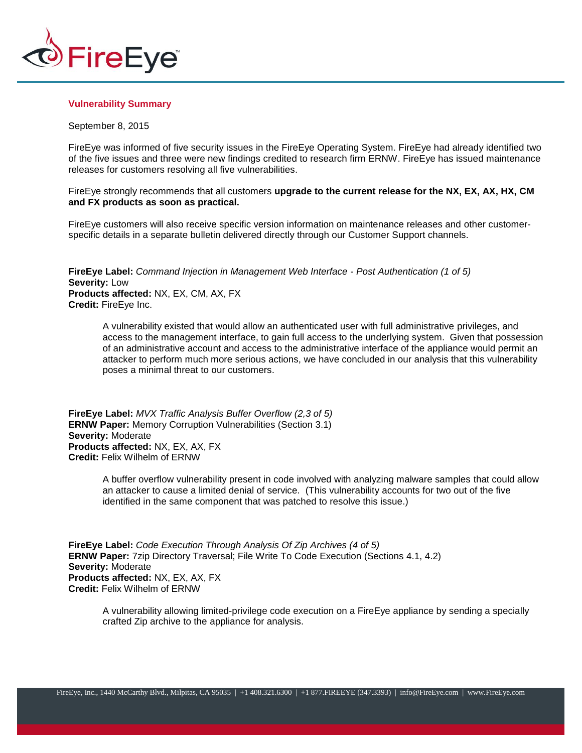

## **Vulnerability Summary**

## September 8, 2015

FireEye was informed of five security issues in the FireEye Operating System. FireEye had already identified two of the five issues and three were new findings credited to research firm ERNW. FireEye has issued maintenance releases for customers resolving all five vulnerabilities.

FireEye strongly recommends that all customers **upgrade to the current release for the NX, EX, AX, HX, CM and FX products as soon as practical.**

FireEye customers will also receive specific version information on maintenance releases and other customerspecific details in a separate bulletin delivered directly through our Customer Support channels.

**FireEye Label:** *Command Injection in Management Web Interface - Post Authentication (1 of 5)* **Severity:** Low **Products affected:** NX, EX, CM, AX, FX **Credit:** FireEye Inc.

A vulnerability existed that would allow an authenticated user with full administrative privileges, and access to the management interface, to gain full access to the underlying system. Given that possession of an administrative account and access to the administrative interface of the appliance would permit an attacker to perform much more serious actions, we have concluded in our analysis that this vulnerability poses a minimal threat to our customers.

**FireEye Label:** *MVX Traffic Analysis Buffer Overflow (2,3 of 5)* **ERNW Paper:** Memory Corruption Vulnerabilities (Section 3.1) **Severity:** Moderate **Products affected:** NX, EX, AX, FX **Credit:** Felix Wilhelm of ERNW

> A buffer overflow vulnerability present in code involved with analyzing malware samples that could allow an attacker to cause a limited denial of service. (This vulnerability accounts for two out of the five identified in the same component that was patched to resolve this issue.)

**FireEye Label:** *Code Execution Through Analysis Of Zip Archives (4 of 5)* **ERNW Paper:** 7zip Directory Traversal; File Write To Code Execution (Sections 4.1, 4.2) **Severity:** Moderate **Products affected:** NX, EX, AX, FX **Credit:** Felix Wilhelm of ERNW

A vulnerability allowing limited-privilege code execution on a FireEye appliance by sending a specially crafted Zip archive to the appliance for analysis.